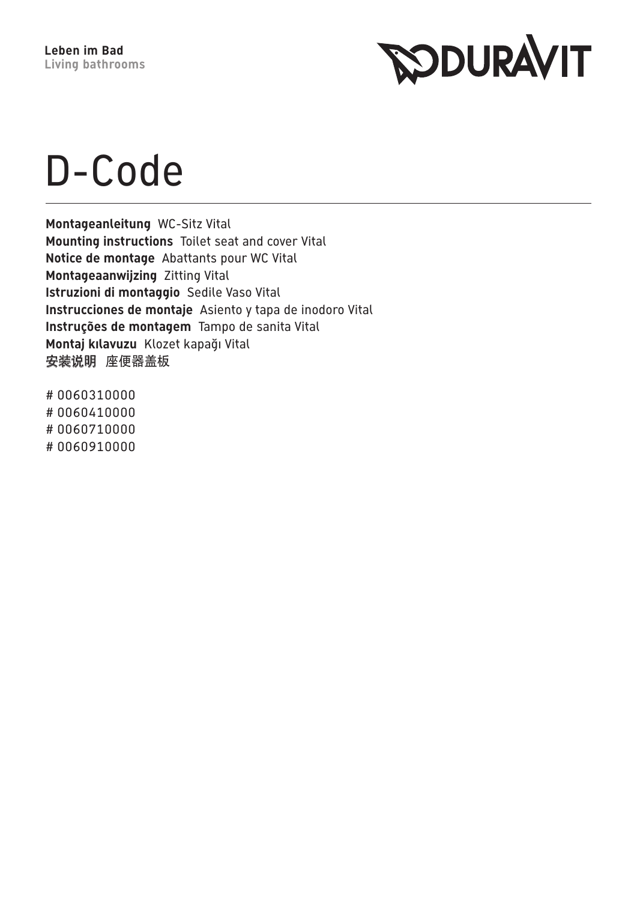

## D-Code

Montageanleitung WC-Sitz Vital Mounting instructions Toilet seat and cover Vital Notice de montage Abattants pour WC Vital Montageaanwijzing Zitting Vital Istruzioni di montaggio Sedile Vaso Vital Instrucciones de montaje Asiento y tapa de inodoro Vital Instruções de montagem Tampo de sanita Vital Montaj kılavuzu Klozet kapağı Vital 安装说明 座便器盖板

#0060310000 #0060410000 # 0060710000 #0060910000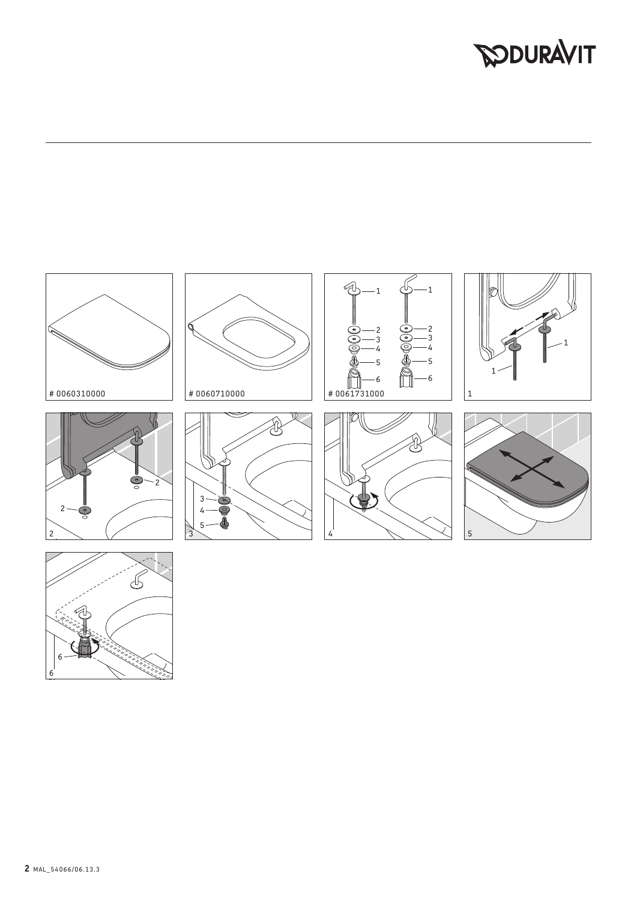## **DOURAVIT**



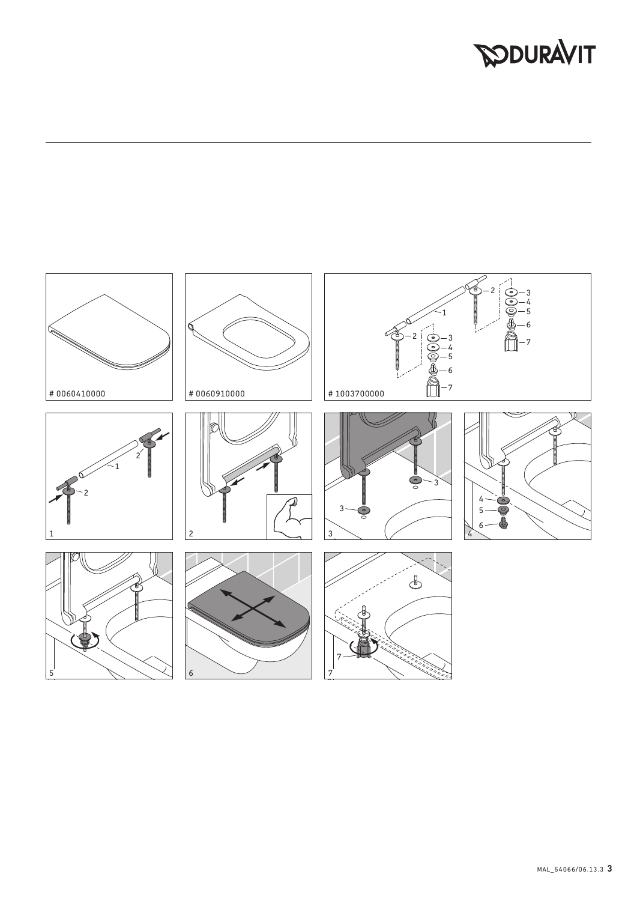## **DOURAVIT**